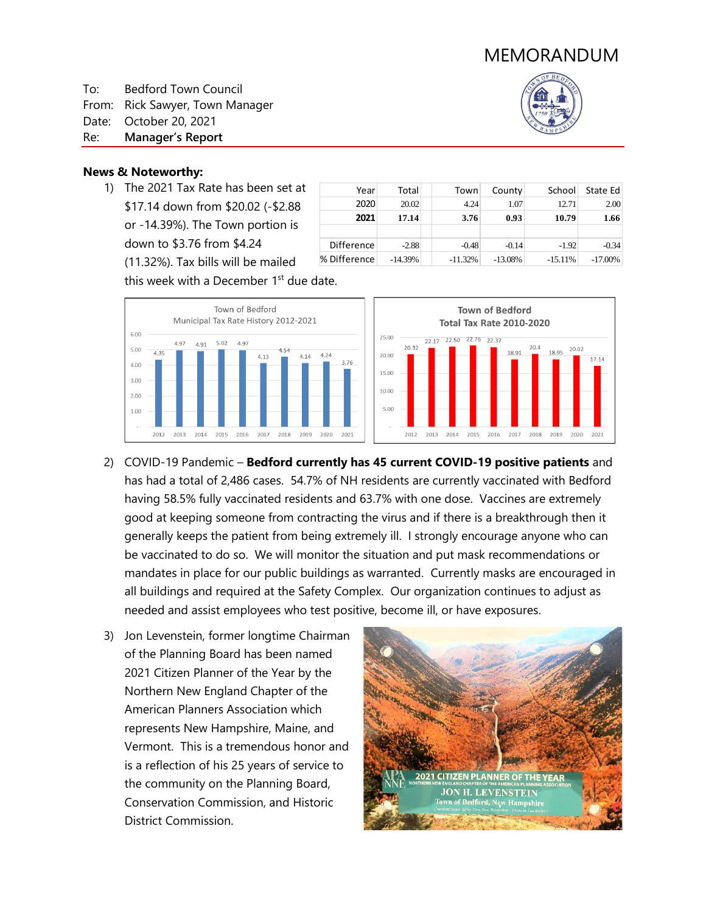

To: Bedford Town Council

From: Rick Sawyer, Town Manager

Date: October 20, 2021

Re: **Manager's Report**



## **News & Noteworthy:**

1) The 2021 Tax Rate has been set at \$17.14 down from \$20.02 (-\$2.88 or -14.39%). The Town portion is down to \$3.76 from \$4.24 (11.32%). Tax bills will be mailed

| Year              | Total     | Town      | County    | School    | State Ed   |
|-------------------|-----------|-----------|-----------|-----------|------------|
| 2020              | 20.02     | 4.24      | 1.07      | 12.71     | 2.00       |
| 2021              | 17.14     | 3.76      | 0.93      | 10.79     | 1.66       |
|                   |           |           |           |           |            |
| <b>Difference</b> | $-2.88$   | $-0.48$   | $-0.14$   | $-1.92$   | $-0.34$    |
| % Difference      | $-14.39%$ | $-11.32%$ | $-13.08%$ | $-15.11%$ | $-17.00\%$ |

this week with a December 1<sup>st</sup> due date.





- 2) COVID-19 Pandemic **Bedford currently has 45 current COVID-19 positive patients** and has had a total of 2,486 cases. 54.7% of NH residents are currently vaccinated with Bedford having 58.5% fully vaccinated residents and 63.7% with one dose. Vaccines are extremely good at keeping someone from contracting the virus and if there is a breakthrough then it generally keeps the patient from being extremely ill. I strongly encourage anyone who can be vaccinated to do so. We will monitor the situation and put mask recommendations or mandates in place for our public buildings as warranted. Currently masks are encouraged in all buildings and required at the Safety Complex. Our organization continues to adjust as needed and assist employees who test positive, become ill, or have exposures.
- 3) Jon Levenstein, former longtime Chairman of the Planning Board has been named 2021 Citizen Planner of the Year by the Northern New England Chapter of the American Planners Association which represents New Hampshire, Maine, and Vermont. This is a tremendous honor and is a reflection of his 25 years of service to the community on the Planning Board, Conservation Commission, and Historic District Commission.

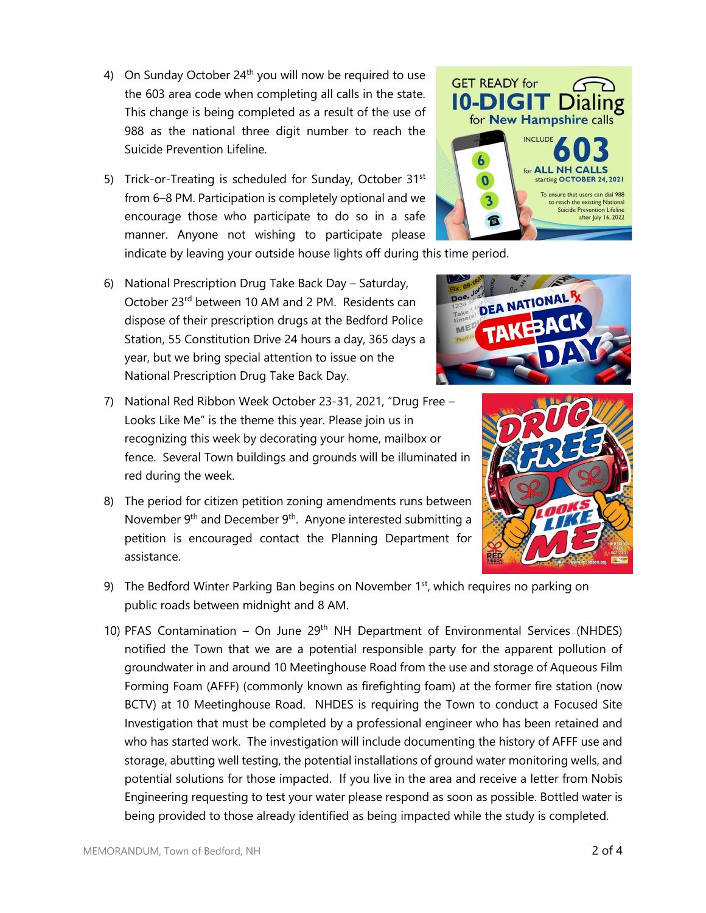- 4) On Sunday October  $24<sup>th</sup>$  you will now be required to use the 603 area code when completing all calls in the state. This change is being completed as a result of the use of 988 as the national three digit number to reach the Suicide Prevention Lifeline.
- 5) Trick-or-Treating is scheduled for Sunday, October 31<sup>st</sup> from 6–8 PM. Participation is completely optional and we encourage those who participate to do so in a safe manner. Anyone not wishing to participate please indicate by leaving your outside house lights off during this time period.
- 6) National Prescription Drug Take Back Day Saturday, October 23<sup>rd</sup> between 10 AM and 2 PM. Residents can dispose of their prescription drugs at the Bedford Police Station, 55 Constitution Drive 24 hours a day, 365 days a year, but we bring special attention to issue on the National Prescription Drug Take Back Day.
- 7) National Red Ribbon Week October 23-31, 2021, "Drug Free Looks Like Me" is the theme this year. Please join us in recognizing this week by decorating your home, mailbox or fence. Several Town buildings and grounds will be illuminated in red during the week.
- 8) The period for citizen petition zoning amendments runs between November  $9<sup>th</sup>$  and December  $9<sup>th</sup>$ . Anyone interested submitting a petition is encouraged contact the Planning Department for assistance.
- 9) The Bedford Winter Parking Ban begins on November  $1<sup>st</sup>$ , which requires no parking on public roads between midnight and 8 AM.
- 10) PFAS Contamination On June  $29<sup>th</sup>$  NH Department of Environmental Services (NHDES) notified the Town that we are a potential responsible party for the apparent pollution of groundwater in and around 10 Meetinghouse Road from the use and storage of Aqueous Film Forming Foam (AFFF) (commonly known as firefighting foam) at the former fire station (now BCTV) at 10 Meetinghouse Road. NHDES is requiring the Town to conduct a Focused Site Investigation that must be completed by a professional engineer who has been retained and who has started work. The investigation will include documenting the history of AFFF use and storage, abutting well testing, the potential installations of ground water monitoring wells, and potential solutions for those impacted. If you live in the area and receive a letter from Nobis Engineering requesting to test your water please respond as soon as possible. Bottled water is being provided to those already identified as being impacted while the study is completed.

DEA NATIONA TAKE MED



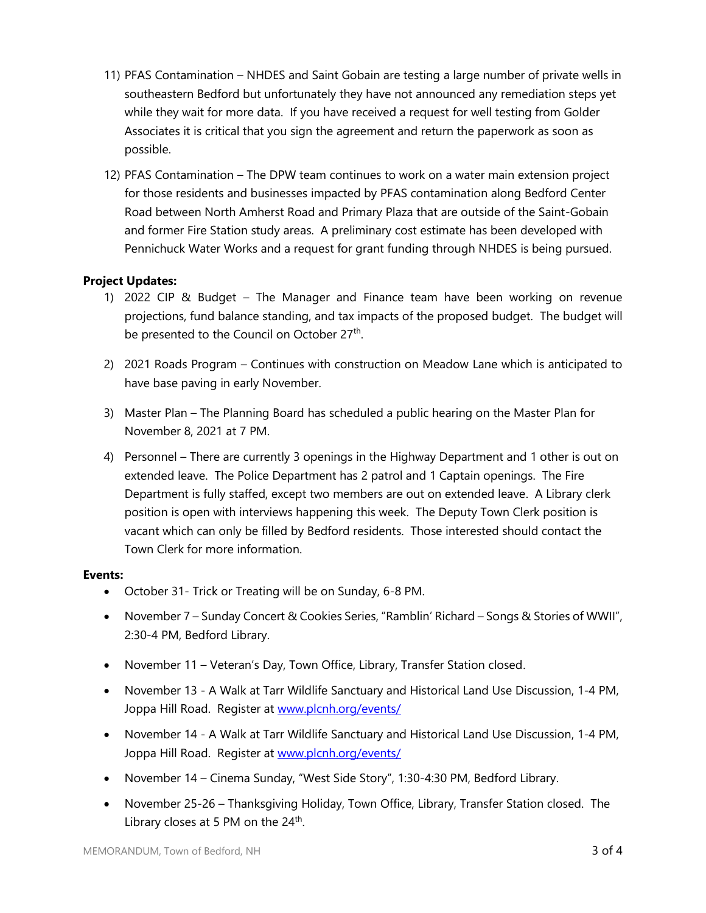- 11) PFAS Contamination NHDES and Saint Gobain are testing a large number of private wells in southeastern Bedford but unfortunately they have not announced any remediation steps yet while they wait for more data. If you have received a request for well testing from Golder Associates it is critical that you sign the agreement and return the paperwork as soon as possible.
- 12) PFAS Contamination The DPW team continues to work on a water main extension project for those residents and businesses impacted by PFAS contamination along Bedford Center Road between North Amherst Road and Primary Plaza that are outside of the Saint-Gobain and former Fire Station study areas. A preliminary cost estimate has been developed with Pennichuck Water Works and a request for grant funding through NHDES is being pursued.

## **Project Updates:**

- 1) 2022 CIP & Budget The Manager and Finance team have been working on revenue projections, fund balance standing, and tax impacts of the proposed budget. The budget will be presented to the Council on October 27<sup>th</sup>.
- 2) 2021 Roads Program Continues with construction on Meadow Lane which is anticipated to have base paving in early November.
- 3) Master Plan The Planning Board has scheduled a public hearing on the Master Plan for November 8, 2021 at 7 PM.
- 4) Personnel There are currently 3 openings in the Highway Department and 1 other is out on extended leave. The Police Department has 2 patrol and 1 Captain openings. The Fire Department is fully staffed, except two members are out on extended leave. A Library clerk position is open with interviews happening this week. The Deputy Town Clerk position is vacant which can only be filled by Bedford residents. Those interested should contact the Town Clerk for more information.

## **Events:**

- October 31- Trick or Treating will be on Sunday, 6-8 PM.
- November 7 Sunday Concert & Cookies Series, "Ramblin' Richard Songs & Stories of WWII", 2:30-4 PM, Bedford Library.
- November 11 Veteran's Day, Town Office, Library, Transfer Station closed.
- November 13 A Walk at Tarr Wildlife Sanctuary and Historical Land Use Discussion, 1-4 PM, Joppa Hill Road. Register at [www.plcnh.org/events/](http://www.plcnh.org/events/)
- November 14 A Walk at Tarr Wildlife Sanctuary and Historical Land Use Discussion, 1-4 PM, Joppa Hill Road. Register at [www.plcnh.org/events/](http://www.plcnh.org/events/)
- November 14 Cinema Sunday, "West Side Story", 1:30-4:30 PM, Bedford Library.
- November 25-26 Thanksgiving Holiday, Town Office, Library, Transfer Station closed. The Library closes at 5 PM on the  $24<sup>th</sup>$ .